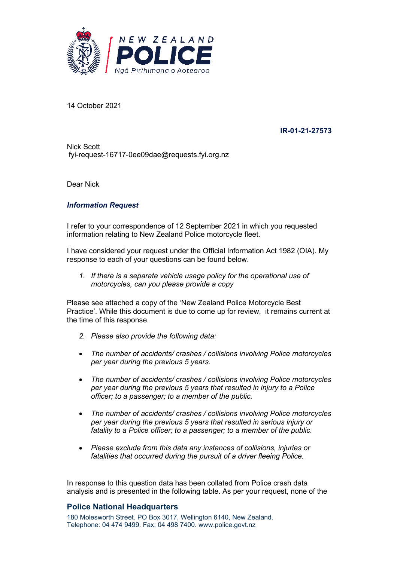

14 October 2021

**IR-01-21-27573**

Nick Scott fyi-request-16717-0ee09dae@requests.fyi.org.nz

Dear Nick

#### *Information Request*

I refer to your correspondence of 12 September 2021 in which you requested information relating to New Zealand Police motorcycle fleet.

I have considered your request under the Official Information Act 1982 (OIA). My response to each of your questions can be found below.

*1. If there is a separate vehicle usage policy for the operational use of motorcycles, can you please provide a copy*

Please see attached a copy of the 'New Zealand Police Motorcycle Best Practice'. While this document is due to come up for review, it remains current at the time of this response.

- *2. Please also provide the following data:*
- *The number of accidents/ crashes / collisions involving Police motorcycles per year during the previous 5 years.*
- *The number of accidents/ crashes / collisions involving Police motorcycles per year during the previous 5 years that resulted in injury to a Police officer; to a passenger; to a member of the public.*
- *The number of accidents/ crashes / collisions involving Police motorcycles per year during the previous 5 years that resulted in serious injury or fatality to a Police officer; to a passenger; to a member of the public.*
- *Please exclude from this data any instances of collisions, injuries or fatalities that occurred during the pursuit of a driver fleeing Police.*

In response to this question data has been collated from Police crash data analysis and is presented in the following table. As per your request, none of the

#### **Police National Headquarters**

180 Molesworth Street. PO Box 3017, Wellington 6140, New Zealand. Telephone: 04 474 9499. Fax: 04 498 7400. www.police.govt.nz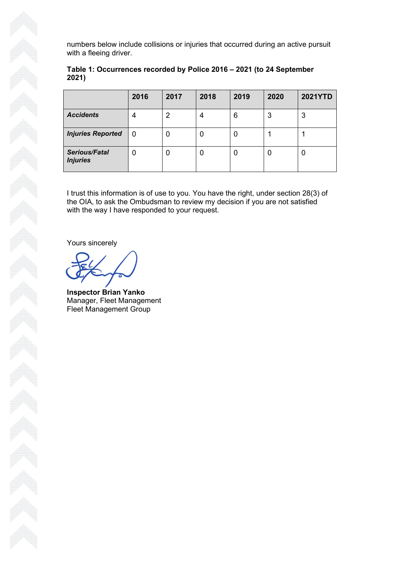numbers below include collisions or injuries that occurred during an active pursuit with a fleeing driver.

| $- - -$ , ,                             |      |      |      |      |      |                |
|-----------------------------------------|------|------|------|------|------|----------------|
|                                         | 2016 | 2017 | 2018 | 2019 | 2020 | <b>2021YTD</b> |
| <b>Accidents</b>                        | 4    | 2    | 4    | 6    | 3    | 3              |
| <b>Injuries Reported</b>                | 0    | 0    |      |      |      |                |
| <b>Serious/Fatal</b><br><b>Injuries</b> | 0    | 0    | U    |      | U    | U              |

#### **Table 1: Occurrences recorded by Police 2016 – 2021 (to 24 September 2021)**

I trust this information is of use to you. You have the right, under section 28(3) of the OIA, to ask the Ombudsman to review my decision if you are not satisfied with the way I have responded to your request.

Yours sincerely

**Inspector Brian Yanko** Manager, Fleet Management Fleet Management Group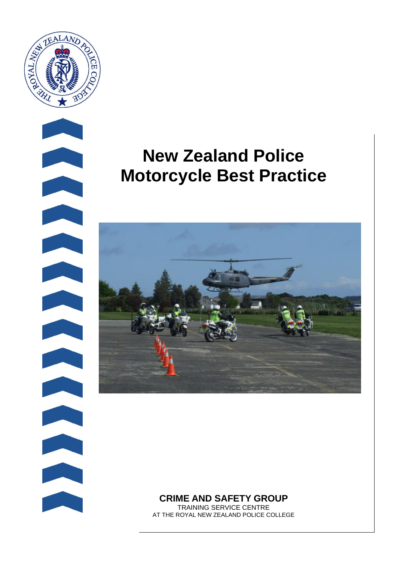

# **New Zealand Police Motorcycle Best Practice**



**CRIME AND SAFETY GROUP**

TRAINING SERVICE CENTRE AT THE ROYAL NEW ZEALAND POLICE COLLEGE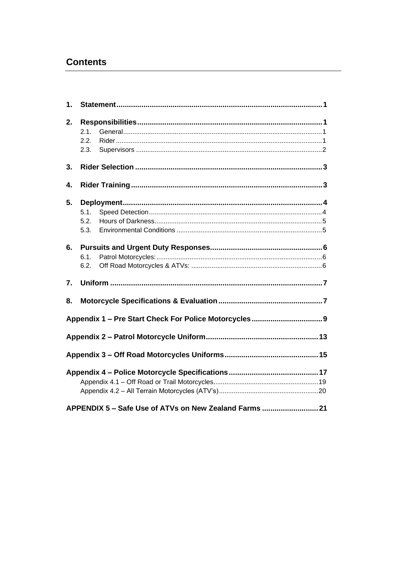### **Contents**

| 1. |                                                        |  |  |  |  |  |
|----|--------------------------------------------------------|--|--|--|--|--|
| 2. | 2.1.<br>2.2.<br>2.3.                                   |  |  |  |  |  |
| 3. |                                                        |  |  |  |  |  |
| 4. |                                                        |  |  |  |  |  |
| 5. | 5.1.<br>5.2.<br>5.3.                                   |  |  |  |  |  |
| 6. | 6.1.<br>6.2.                                           |  |  |  |  |  |
| 7. |                                                        |  |  |  |  |  |
| 8. |                                                        |  |  |  |  |  |
|    |                                                        |  |  |  |  |  |
|    |                                                        |  |  |  |  |  |
|    |                                                        |  |  |  |  |  |
|    |                                                        |  |  |  |  |  |
|    | APPENDIX 5 - Safe Use of ATVs on New Zealand Farms  21 |  |  |  |  |  |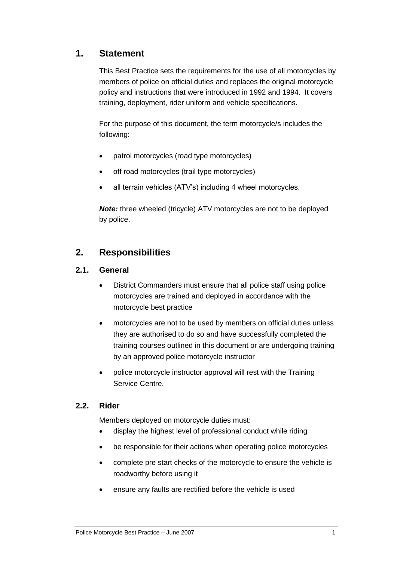### **1. Statement**

This Best Practice sets the requirements for the use of all motorcycles by members of police on official duties and replaces the original motorcycle policy and instructions that were introduced in 1992 and 1994. It covers training, deployment, rider uniform and vehicle specifications.

For the purpose of this document, the term motorcycle/s includes the following:

- patrol motorcycles (road type motorcycles)
- off road motorcycles (trail type motorcycles)
- all terrain vehicles (ATV's) including 4 wheel motorcycles.

*Note:* three wheeled (tricycle) ATV motorcycles are not to be deployed by police.

### **2. Responsibilities**

#### **2.1. General**

- District Commanders must ensure that all police staff using police motorcycles are trained and deployed in accordance with the motorcycle best practice
- motorcycles are not to be used by members on official duties unless they are authorised to do so and have successfully completed the training courses outlined in this document or are undergoing training by an approved police motorcycle instructor
- police motorcycle instructor approval will rest with the Training Service Centre.

#### **2.2. Rider**

Members deployed on motorcycle duties must:

- display the highest level of professional conduct while riding
- be responsible for their actions when operating police motorcycles
- complete pre start checks of the motorcycle to ensure the vehicle is roadworthy before using it
- ensure any faults are rectified before the vehicle is used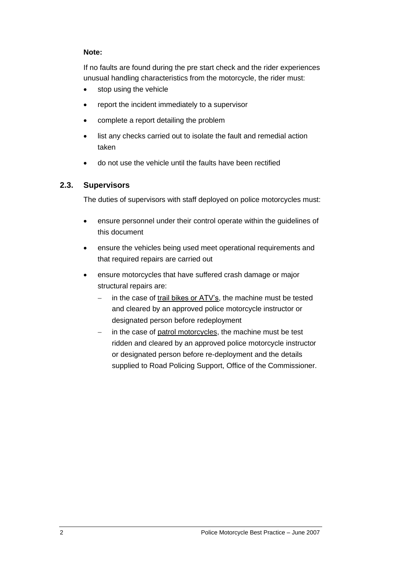#### **Note:**

If no faults are found during the pre start check and the rider experiences unusual handling characteristics from the motorcycle, the rider must:

- stop using the vehicle
- report the incident immediately to a supervisor
- complete a report detailing the problem
- list any checks carried out to isolate the fault and remedial action taken
- do not use the vehicle until the faults have been rectified

#### **2.3. Supervisors**

The duties of supervisors with staff deployed on police motorcycles must:

- ensure personnel under their control operate within the guidelines of this document
- ensure the vehicles being used meet operational requirements and that required repairs are carried out
- ensure motorcycles that have suffered crash damage or major structural repairs are:
	- in the case of trail bikes or ATV's, the machine must be tested and cleared by an approved police motorcycle instructor or designated person before redeployment
	- − in the case of patrol motorcycles, the machine must be test ridden and cleared by an approved police motorcycle instructor or designated person before re-deployment and the details supplied to Road Policing Support, Office of the Commissioner.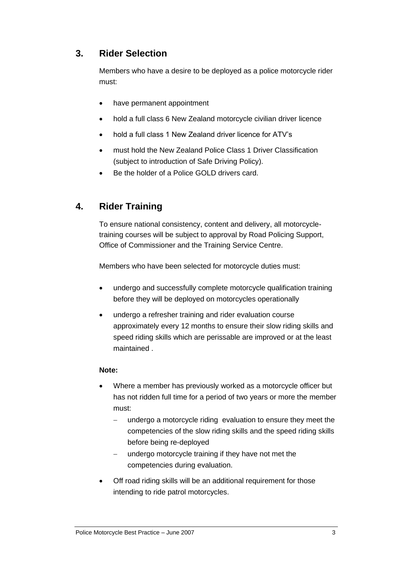### **3. Rider Selection**

Members who have a desire to be deployed as a police motorcycle rider must:

- have permanent appointment
- hold a full class 6 New Zealand motorcycle civilian driver licence
- hold a full class 1 New Zealand driver licence for ATV's
- must hold the New Zealand Police Class 1 Driver Classification (subject to introduction of Safe Driving Policy).
- Be the holder of a Police GOLD drivers card.

### **4. Rider Training**

To ensure national consistency, content and delivery, all motorcycletraining courses will be subject to approval by Road Policing Support, Office of Commissioner and the Training Service Centre.

Members who have been selected for motorcycle duties must:

- undergo and successfully complete motorcycle qualification training before they will be deployed on motorcycles operationally
- undergo a refresher training and rider evaluation course approximately every 12 months to ensure their slow riding skills and speed riding skills which are perissable are improved or at the least maintained .

#### **Note:**

- Where a member has previously worked as a motorcycle officer but has not ridden full time for a period of two years or more the member must:
	- undergo a motorcycle riding evaluation to ensure they meet the competencies of the slow riding skills and the speed riding skills before being re-deployed
	- undergo motorcycle training if they have not met the competencies during evaluation.
- Off road riding skills will be an additional requirement for those intending to ride patrol motorcycles.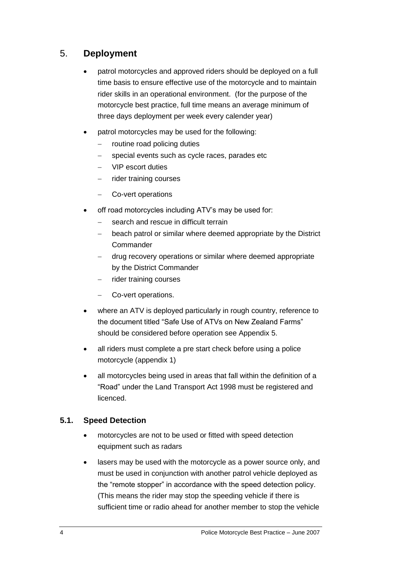### 5. **Deployment**

- patrol motorcycles and approved riders should be deployed on a full time basis to ensure effective use of the motorcycle and to maintain rider skills in an operational environment. (for the purpose of the motorcycle best practice, full time means an average minimum of three days deployment per week every calender year)
- patrol motorcycles may be used for the following:
	- routine road policing duties
	- special events such as cycle races, parades etc
	- − VIP escort duties
	- nider training courses
	- − Co-vert operations
- off road motorcycles including ATV's may be used for:
	- − search and rescue in difficult terrain
	- beach patrol or similar where deemed appropriate by the District **Commander**
	- − drug recovery operations or similar where deemed appropriate by the District Commander
	- rider training courses
	- − Co-vert operations.
- where an ATV is deployed particularly in rough country, reference to the document titled "Safe Use of ATVs on New Zealand Farms" should be considered before operation see Appendix 5.
- all riders must complete a pre start check before using a police motorcycle (appendix 1)
- all motorcycles being used in areas that fall within the definition of a "Road" under the Land Transport Act 1998 must be registered and licenced.

#### **5.1. Speed Detection**

- motorcycles are not to be used or fitted with speed detection equipment such as radars
- lasers may be used with the motorcycle as a power source only, and must be used in conjunction with another patrol vehicle deployed as the "remote stopper" in accordance with the speed detection policy. (This means the rider may stop the speeding vehicle if there is sufficient time or radio ahead for another member to stop the vehicle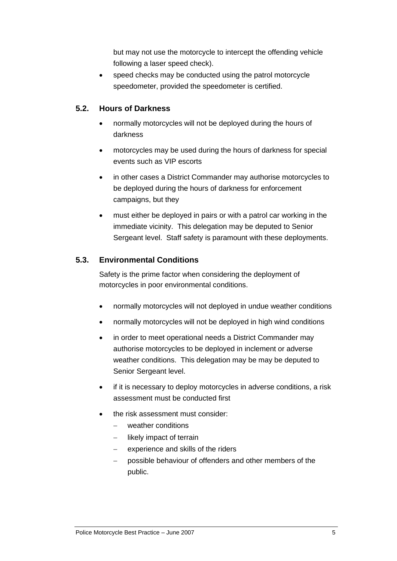but may not use the motorcycle to intercept the offending vehicle following a laser speed check).

speed checks may be conducted using the patrol motorcycle speedometer, provided the speedometer is certified.

### **5.2. Hours of Darkness**

- normally motorcycles will not be deployed during the hours of darkness
- motorcycles may be used during the hours of darkness for special events such as VIP escorts
- in other cases a District Commander may authorise motorcycles to be deployed during the hours of darkness for enforcement campaigns, but they
- must either be deployed in pairs or with a patrol car working in the immediate vicinity. This delegation may be deputed to Senior Sergeant level. Staff safety is paramount with these deployments.

### **5.3. Environmental Conditions**

Safety is the prime factor when considering the deployment of motorcycles in poor environmental conditions.

- normally motorcycles will not deployed in undue weather conditions
- normally motorcycles will not be deployed in high wind conditions
- in order to meet operational needs a District Commander may authorise motorcycles to be deployed in inclement or adverse weather conditions. This delegation may be may be deputed to Senior Sergeant level.
- if it is necessary to deploy motorcycles in adverse conditions, a risk assessment must be conducted first
- the risk assessment must consider:
	- − weather conditions
	- likely impact of terrain
	- experience and skills of the riders
	- − possible behaviour of offenders and other members of the public.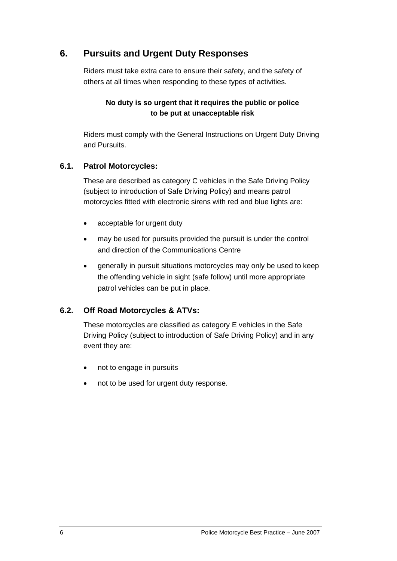### **6. Pursuits and Urgent Duty Responses**

Riders must take extra care to ensure their safety, and the safety of others at all times when responding to these types of activities.

#### **No duty is so urgent that it requires the public or police to be put at unacceptable risk**

Riders must comply with the General Instructions on Urgent Duty Driving and Pursuits.

#### **6.1. Patrol Motorcycles:**

These are described as category C vehicles in the Safe Driving Policy (subject to introduction of Safe Driving Policy) and means patrol motorcycles fitted with electronic sirens with red and blue lights are:

- acceptable for urgent duty
- may be used for pursuits provided the pursuit is under the control and direction of the Communications Centre
- generally in pursuit situations motorcycles may only be used to keep the offending vehicle in sight (safe follow) until more appropriate patrol vehicles can be put in place.

#### **6.2. Off Road Motorcycles & ATVs:**

These motorcycles are classified as category E vehicles in the Safe Driving Policy (subject to introduction of Safe Driving Policy) and in any event they are:

- not to engage in pursuits
- not to be used for urgent duty response.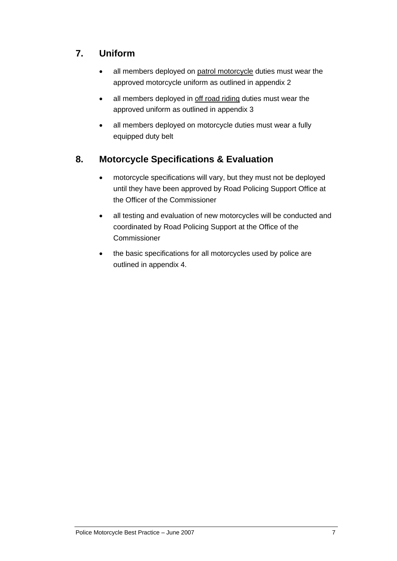### **7. Uniform**

- all members deployed on patrol motorcycle duties must wear the approved motorcycle uniform as outlined in appendix 2
- all members deployed in off road riding duties must wear the approved uniform as outlined in appendix 3
- all members deployed on motorcycle duties must wear a fully equipped duty belt

### **8. Motorcycle Specifications & Evaluation**

- motorcycle specifications will vary, but they must not be deployed until they have been approved by Road Policing Support Office at the Officer of the Commissioner
- all testing and evaluation of new motorcycles will be conducted and coordinated by Road Policing Support at the Office of the Commissioner
- the basic specifications for all motorcycles used by police are outlined in appendix 4.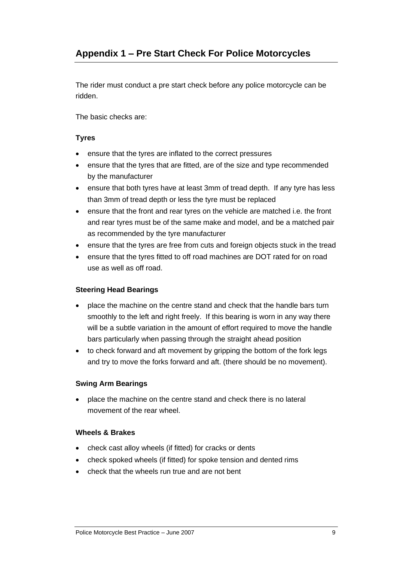### **Appendix 1 – Pre Start Check For Police Motorcycles**

The rider must conduct a pre start check before any police motorcycle can be ridden.

The basic checks are:

#### **Tyres**

- ensure that the tyres are inflated to the correct pressures
- ensure that the tyres that are fitted, are of the size and type recommended by the manufacturer
- ensure that both tyres have at least 3mm of tread depth. If any tyre has less than 3mm of tread depth or less the tyre must be replaced
- ensure that the front and rear tyres on the vehicle are matched i.e. the front and rear tyres must be of the same make and model, and be a matched pair as recommended by the tyre manufacturer
- ensure that the tyres are free from cuts and foreign objects stuck in the tread
- ensure that the tyres fitted to off road machines are DOT rated for on road use as well as off road.

#### **Steering Head Bearings**

- place the machine on the centre stand and check that the handle bars turn smoothly to the left and right freely. If this bearing is worn in any way there will be a subtle variation in the amount of effort required to move the handle bars particularly when passing through the straight ahead position
- to check forward and aft movement by gripping the bottom of the fork legs and try to move the forks forward and aft. (there should be no movement).

#### **Swing Arm Bearings**

• place the machine on the centre stand and check there is no lateral movement of the rear wheel.

#### **Wheels & Brakes**

- check cast alloy wheels (if fitted) for cracks or dents
- check spoked wheels (if fitted) for spoke tension and dented rims
- check that the wheels run true and are not bent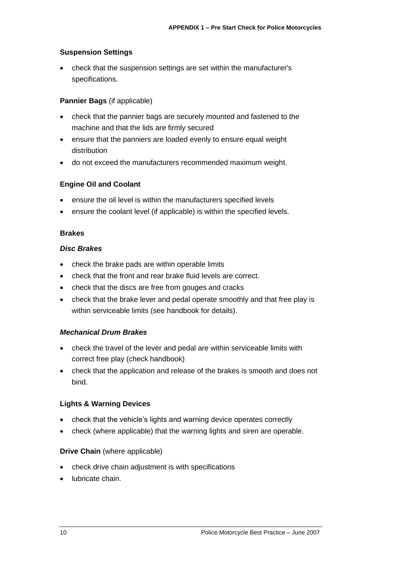#### **Suspension Settings**

• check that the suspension settings are set within the manufacturer's specifications.

#### **Pannier Bags** (if applicable)

- check that the pannier bags are securely mounted and fastened to the machine and that the lids are firmly secured
- ensure that the panniers are loaded evenly to ensure equal weight distribution
- do not exceed the manufacturers recommended maximum weight.

#### **Engine Oil and Coolant**

- ensure the oil level is within the manufacturers specified levels
- ensure the coolant level (if applicable) is within the specified levels.

#### **Brakes**

#### *Disc Brakes*

- check the brake pads are within operable limits
- check that the front and rear brake fluid levels are correct.
- check that the discs are free from gouges and cracks
- check that the brake lever and pedal operate smoothly and that free play is within serviceable limits (see handbook for details).

#### *Mechanical Drum Brakes*

- check the travel of the lever and pedal are within serviceable limits with correct free play (check handbook)
- check that the application and release of the brakes is smooth and does not bind.

#### **Lights & Warning Devices**

- check that the vehicle's lights and warning device operates correctly
- check (where applicable) that the warning lights and siren are operable.

#### **Drive Chain** (where applicable)

- check drive chain adjustment is with specifications
- lubricate chain.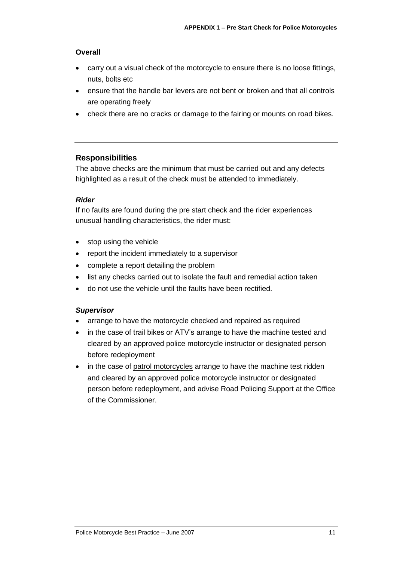#### **Overall**

- carry out a visual check of the motorcycle to ensure there is no loose fittings, nuts, bolts etc
- ensure that the handle bar levers are not bent or broken and that all controls are operating freely
- check there are no cracks or damage to the fairing or mounts on road bikes.

#### **Responsibilities**

The above checks are the minimum that must be carried out and any defects highlighted as a result of the check must be attended to immediately.

#### *Rider*

If no faults are found during the pre start check and the rider experiences unusual handling characteristics, the rider must:

- stop using the vehicle
- report the incident immediately to a supervisor
- complete a report detailing the problem
- list any checks carried out to isolate the fault and remedial action taken
- do not use the vehicle until the faults have been rectified.

#### *Supervisor*

- arrange to have the motorcycle checked and repaired as required
- in the case of trail bikes or ATV's arrange to have the machine tested and cleared by an approved police motorcycle instructor or designated person before redeployment
- in the case of patrol motorcycles arrange to have the machine test ridden and cleared by an approved police motorcycle instructor or designated person before redeployment, and advise Road Policing Support at the Office of the Commissioner.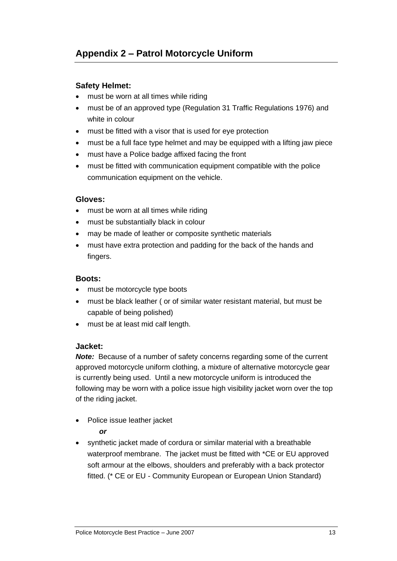#### **Safety Helmet:**

- must be worn at all times while riding
- must be of an approved type (Regulation 31 Traffic Regulations 1976) and white in colour
- must be fitted with a visor that is used for eye protection
- must be a full face type helmet and may be equipped with a lifting jaw piece
- must have a Police badge affixed facing the front
- must be fitted with communication equipment compatible with the police communication equipment on the vehicle.

#### **Gloves:**

- must be worn at all times while riding
- must be substantially black in colour
- may be made of leather or composite synthetic materials
- must have extra protection and padding for the back of the hands and fingers.

#### **Boots:**

- must be motorcycle type boots
- must be black leather ( or of similar water resistant material, but must be capable of being polished)
- must be at least mid calf length.

#### **Jacket:**

*Note:* Because of a number of safety concerns regarding some of the current approved motorcycle uniform clothing, a mixture of alternative motorcycle gear is currently being used. Until a new motorcycle uniform is introduced the following may be worn with a police issue high visibility jacket worn over the top of the riding jacket.

Police issue leather jacket

#### *or*

• synthetic jacket made of cordura or similar material with a breathable waterproof membrane. The jacket must be fitted with \*CE or EU approved soft armour at the elbows, shoulders and preferably with a back protector fitted. (\* CE or EU - Community European or European Union Standard)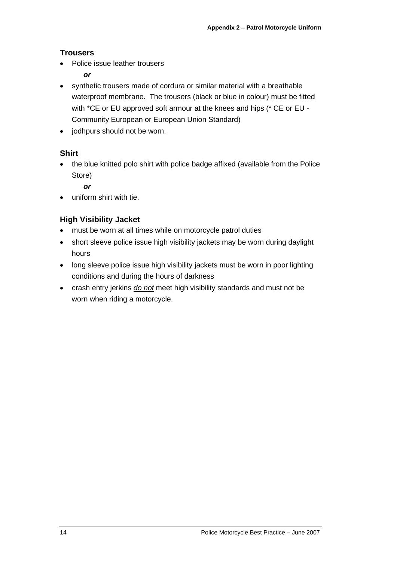#### **Trousers**

- Police issue leather trousers
	- *or*
- synthetic trousers made of cordura or similar material with a breathable waterproof membrane. The trousers (black or blue in colour) must be fitted with \*CE or EU approved soft armour at the knees and hips (\* CE or EU - Community European or European Union Standard)
- jodhpurs should not be worn.

#### **Shirt**

• the blue knitted polo shirt with police badge affixed (available from the Police Store)

*or*

• uniform shirt with tie.

### **High Visibility Jacket**

- must be worn at all times while on motorcycle patrol duties
- short sleeve police issue high visibility jackets may be worn during daylight hours
- long sleeve police issue high visibility jackets must be worn in poor lighting conditions and during the hours of darkness
- crash entry jerkins *do not* meet high visibility standards and must not be worn when riding a motorcycle.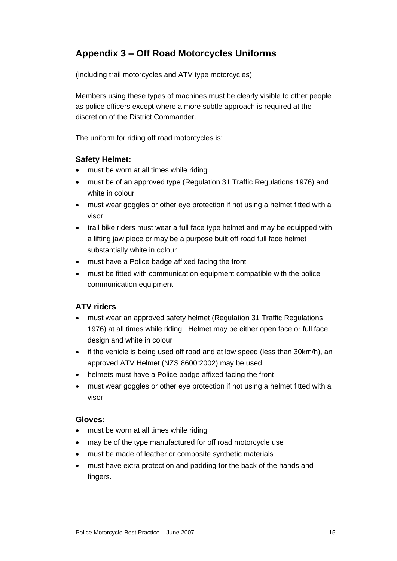### **Appendix 3 – Off Road Motorcycles Uniforms**

(including trail motorcycles and ATV type motorcycles)

Members using these types of machines must be clearly visible to other people as police officers except where a more subtle approach is required at the discretion of the District Commander.

The uniform for riding off road motorcycles is:

#### **Safety Helmet:**

- must be worn at all times while riding
- must be of an approved type (Regulation 31 Traffic Regulations 1976) and white in colour
- must wear goggles or other eye protection if not using a helmet fitted with a visor
- trail bike riders must wear a full face type helmet and may be equipped with a lifting jaw piece or may be a purpose built off road full face helmet substantially white in colour
- must have a Police badge affixed facing the front
- must be fitted with communication equipment compatible with the police communication equipment

#### **ATV riders**

- must wear an approved safety helmet (Regulation 31 Traffic Regulations 1976) at all times while riding. Helmet may be either open face or full face design and white in colour
- if the vehicle is being used off road and at low speed (less than 30km/h), an approved ATV Helmet (NZS 8600:2002) may be used
- helmets must have a Police badge affixed facing the front
- must wear goggles or other eye protection if not using a helmet fitted with a visor.

#### **Gloves:**

- must be worn at all times while riding
- may be of the type manufactured for off road motorcycle use
- must be made of leather or composite synthetic materials
- must have extra protection and padding for the back of the hands and fingers.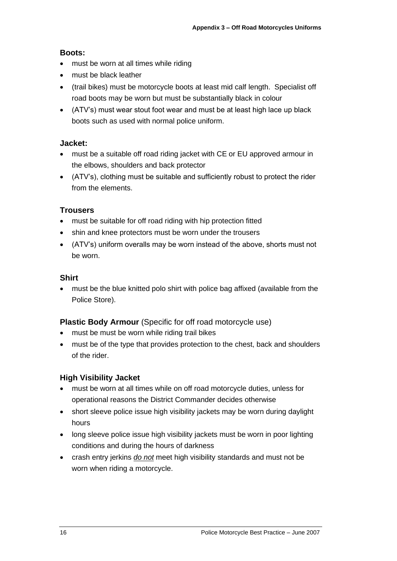#### **Boots:**

- must be worn at all times while riding
- must be black leather
- (trail bikes) must be motorcycle boots at least mid calf length. Specialist off road boots may be worn but must be substantially black in colour
- (ATV's) must wear stout foot wear and must be at least high lace up black boots such as used with normal police uniform.

#### **Jacket:**

- must be a suitable off road riding jacket with CE or EU approved armour in the elbows, shoulders and back protector
- (ATV's), clothing must be suitable and sufficiently robust to protect the rider from the elements.

#### **Trousers**

- must be suitable for off road riding with hip protection fitted
- shin and knee protectors must be worn under the trousers
- (ATV's) uniform overalls may be worn instead of the above, shorts must not be worn.

#### **Shirt**

• must be the blue knitted polo shirt with police bag affixed (available from the Police Store).

#### **Plastic Body Armour** (Specific for off road motorcycle use)

- must be must be worn while riding trail bikes
- must be of the type that provides protection to the chest, back and shoulders of the rider.

#### **High Visibility Jacket**

- must be worn at all times while on off road motorcycle duties, unless for operational reasons the District Commander decides otherwise
- short sleeve police issue high visibility jackets may be worn during daylight hours
- long sleeve police issue high visibility jackets must be worn in poor lighting conditions and during the hours of darkness
- crash entry jerkins *do not* meet high visibility standards and must not be worn when riding a motorcycle.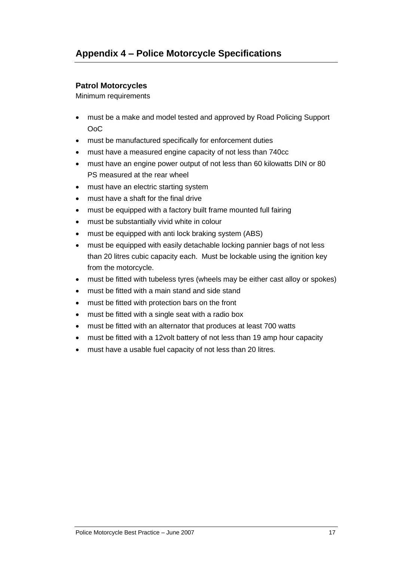#### **Patrol Motorcycles**

Minimum requirements

- must be a make and model tested and approved by Road Policing Support OoC
- must be manufactured specifically for enforcement duties
- must have a measured engine capacity of not less than 740cc
- must have an engine power output of not less than 60 kilowatts DIN or 80 PS measured at the rear wheel
- must have an electric starting system
- must have a shaft for the final drive
- must be equipped with a factory built frame mounted full fairing
- must be substantially vivid white in colour
- must be equipped with anti lock braking system (ABS)
- must be equipped with easily detachable locking pannier bags of not less than 20 litres cubic capacity each. Must be lockable using the ignition key from the motorcycle.
- must be fitted with tubeless tyres (wheels may be either cast alloy or spokes)
- must be fitted with a main stand and side stand
- must be fitted with protection bars on the front
- must be fitted with a single seat with a radio box
- must be fitted with an alternator that produces at least 700 watts
- must be fitted with a 12volt battery of not less than 19 amp hour capacity
- must have a usable fuel capacity of not less than 20 litres.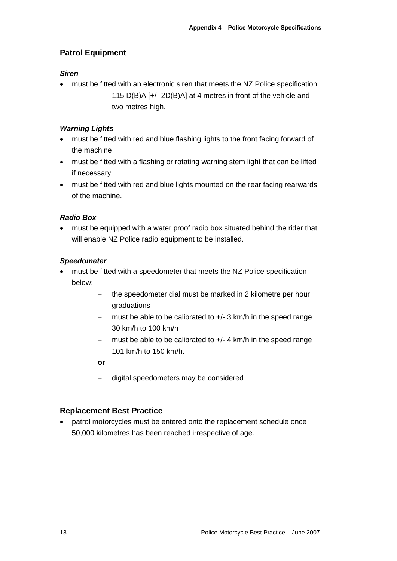#### **Patrol Equipment**

#### *Siren*

- must be fitted with an electronic siren that meets the NZ Police specification
	- − 115 D(B)A [+/- 2D(B)A] at 4 metres in front of the vehicle and two metres high.

#### *Warning Lights*

- must be fitted with red and blue flashing lights to the front facing forward of the machine
- must be fitted with a flashing or rotating warning stem light that can be lifted if necessary
- must be fitted with red and blue lights mounted on the rear facing rearwards of the machine.

#### *Radio Box*

• must be equipped with a water proof radio box situated behind the rider that will enable NZ Police radio equipment to be installed.

#### *Speedometer*

- must be fitted with a speedometer that meets the NZ Police specification below:
	- the speedometer dial must be marked in 2 kilometre per hour graduations
	- must be able to be calibrated to +/- 3 km/h in the speed range 30 km/h to 100 km/h
	- must be able to be calibrated to +/- 4 km/h in the speed range 101 km/h to 150 km/h.

#### **or**

− digital speedometers may be considered

#### **Replacement Best Practice**

• patrol motorcycles must be entered onto the replacement schedule once 50,000 kilometres has been reached irrespective of age.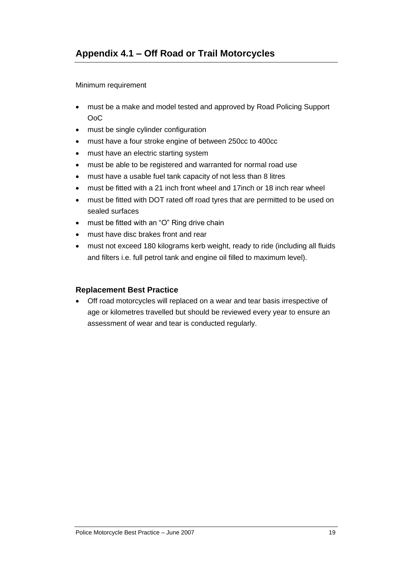Minimum requirement

- must be a make and model tested and approved by Road Policing Support OoC
- must be single cylinder configuration
- must have a four stroke engine of between 250cc to 400cc
- must have an electric starting system
- must be able to be registered and warranted for normal road use
- must have a usable fuel tank capacity of not less than 8 litres
- must be fitted with a 21 inch front wheel and 17inch or 18 inch rear wheel
- must be fitted with DOT rated off road tyres that are permitted to be used on sealed surfaces
- must be fitted with an "O" Ring drive chain
- must have disc brakes front and rear
- must not exceed 180 kilograms kerb weight, ready to ride (including all fluids and filters i.e. full petrol tank and engine oil filled to maximum level).

#### **Replacement Best Practice**

• Off road motorcycles will replaced on a wear and tear basis irrespective of age or kilometres travelled but should be reviewed every year to ensure an assessment of wear and tear is conducted regularly.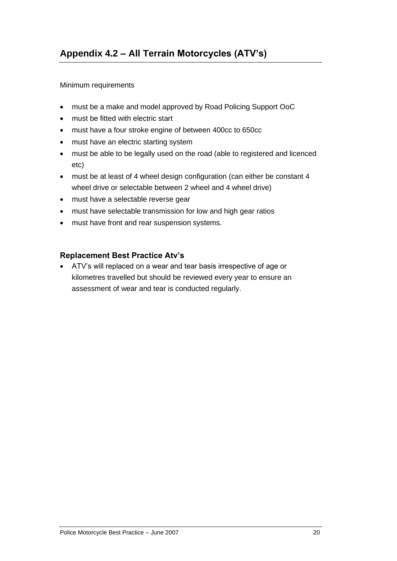#### Minimum requirements

- must be a make and model approved by Road Policing Support OoC
- must be fitted with electric start
- must have a four stroke engine of between 400cc to 650cc
- must have an electric starting system
- must be able to be legally used on the road (able to registered and licenced etc)
- must be at least of 4 wheel design configuration (can either be constant 4 wheel drive or selectable between 2 wheel and 4 wheel drive)
- must have a selectable reverse gear
- must have selectable transmission for low and high gear ratios
- must have front and rear suspension systems.

#### **Replacement Best Practice Atv's**

• ATV's will replaced on a wear and tear basis irrespective of age or kilometres travelled but should be reviewed every year to ensure an assessment of wear and tear is conducted regularly.